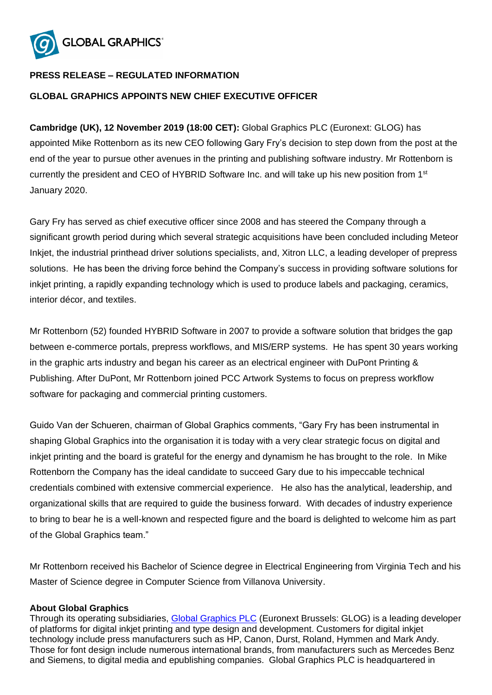

## **PRESS RELEASE – REGULATED INFORMATION**

## **GLOBAL GRAPHICS APPOINTS NEW CHIEF EXECUTIVE OFFICER**

**Cambridge (UK), 12 November 2019 (18:00 CET):** Global Graphics PLC (Euronext: GLOG) has appointed Mike Rottenborn as its new CEO following Gary Fry's decision to step down from the post at the end of the year to pursue other avenues in the printing and publishing software industry. Mr Rottenborn is currently the president and CEO of HYBRID Software Inc. and will take up his new position from 1<sup>st</sup> January 2020.

Gary Fry has served as chief executive officer since 2008 and has steered the Company through a significant growth period during which several strategic acquisitions have been concluded including Meteor Inkjet, the industrial printhead driver solutions specialists, and, Xitron LLC, a leading developer of prepress solutions. He has been the driving force behind the Company's success in providing software solutions for inkjet printing, a rapidly expanding technology which is used to produce labels and packaging, ceramics, interior décor, and textiles.

Mr Rottenborn (52) founded HYBRID Software in 2007 to provide a software solution that bridges the gap between e-commerce portals, prepress workflows, and MIS/ERP systems. He has spent 30 years working in the graphic arts industry and began his career as an electrical engineer with DuPont Printing & Publishing. After DuPont, Mr Rottenborn joined PCC Artwork Systems to focus on prepress workflow software for packaging and commercial printing customers.

Guido Van der Schueren, chairman of Global Graphics comments, "Gary Fry has been instrumental in shaping Global Graphics into the organisation it is today with a very clear strategic focus on digital and inkjet printing and the board is grateful for the energy and dynamism he has brought to the role. In Mike Rottenborn the Company has the ideal candidate to succeed Gary due to his impeccable technical credentials combined with extensive commercial experience. He also has the analytical, leadership, and organizational skills that are required to guide the business forward. With decades of industry experience to bring to bear he is a well-known and respected figure and the board is delighted to welcome him as part of the Global Graphics team."

Mr Rottenborn received his Bachelor of Science degree in Electrical Engineering from Virginia Tech and his Master of Science degree in Computer Science from Villanova University.

## **About Global Graphics**

Through its operating subsidiaries, [Global Graphics PLC](http://www.globalgraphics.com/) (Euronext Brussels: GLOG) is a leading developer of platforms for digital inkjet printing and type design and development. Customers for digital inkjet technology include press manufacturers such as HP, Canon, Durst, Roland, Hymmen and Mark Andy. Those for font design include numerous international brands, from manufacturers such as Mercedes Benz and Siemens, to digital media and epublishing companies. Global Graphics PLC is headquartered in